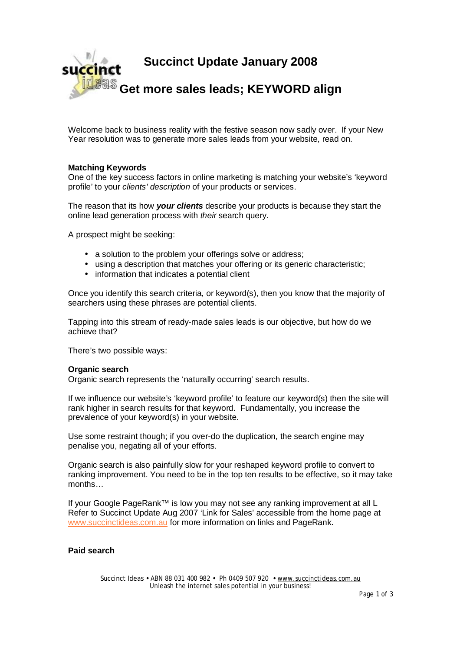

Welcome back to business reality with the festive season now sadly over. If your New Year resolution was to generate more sales leads from your website, read on.

# **Matching Keywords**

One of the key success factors in online marketing is matching your website's 'keyword profile' to your *clients' description* of your products or services.

The reason that its how *your clients* describe your products is because they start the online lead generation process with *their* search query.

A prospect might be seeking:

- a solution to the problem your offerings solve or address;
- using a description that matches your offering or its generic characteristic;
- information that indicates a potential client

Once you identify this search criteria, or keyword(s), then you know that the majority of searchers using these phrases are potential clients.

Tapping into this stream of ready-made sales leads is our objective, but how do we achieve that?

There's two possible ways:

### **Organic search**

Organic search represents the 'naturally occurring' search results.

If we influence our website's 'keyword profile' to feature our keyword(s) then the site will rank higher in search results for that keyword. Fundamentally, you increase the prevalence of your keyword(s) in your website.

Use some restraint though; if you over-do the duplication, the search engine may penalise you, negating all of your efforts.

Organic search is also painfully slow for your reshaped keyword profile to convert to ranking improvement. You need to be in the top ten results to be effective, so it may take months…

If your Google PageRank™ is low you may not see any ranking improvement at all L Refer to Succinct Update Aug 2007 'Link for Sales' accessible from the home page at [www.succinctideas.com.au](http://www.succinctideas.com.au) for more information on links and PageRank.

# **Paid search**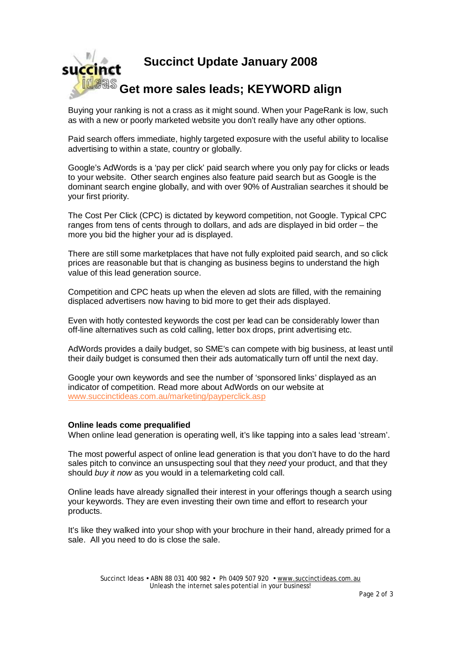

Buying your ranking is not a crass as it might sound. When your PageRank is low, such as with a new or poorly marketed website you don't really have any other options.

Paid search offers immediate, highly targeted exposure with the useful ability to localise advertising to within a state, country or globally.

Google's AdWords is a 'pay per click' paid search where you only pay for clicks or leads to your website. Other search engines also feature paid search but as Google is the dominant search engine globally, and with over 90% of Australian searches it should be your first priority.

The Cost Per Click (CPC) is dictated by keyword competition, not Google. Typical CPC ranges from tens of cents through to dollars, and ads are displayed in bid order – the more you bid the higher your ad is displayed.

There are still some marketplaces that have not fully exploited paid search, and so click prices are reasonable but that is changing as business begins to understand the high value of this lead generation source.

Competition and CPC heats up when the eleven ad slots are filled, with the remaining displaced advertisers now having to bid more to get their ads displayed.

Even with hotly contested keywords the cost per lead can be considerably lower than off-line alternatives such as cold calling, letter box drops, print advertising etc.

AdWords provides a daily budget, so SME's can compete with big business, at least until their daily budget is consumed then their ads automatically turn off until the next day.

Google your own keywords and see the number of 'sponsored links' displayed as an indicator of competition. Read more about AdWords on our website at [www.succinctideas.com.au/marketing/payperclick.asp](http://www.succinctideas.com.au/marketing/payperclick.asp) 

# **Online leads come prequalified**

When online lead generation is operating well, it's like tapping into a sales lead 'stream'.

The most powerful aspect of online lead generation is that you don't have to do the hard sales pitch to convince an unsuspecting soul that they *need* your product, and that they should *buy it now* as you would in a telemarketing cold call.

Online leads have already signalled their interest in your offerings though a search using your keywords. They are even investing their own time and effort to research your products.

It's like they walked into your shop with your brochure in their hand, already primed for a sale. All you need to do is close the sale.

> Succinct Ideas • ABN 88 031 400 982 • Ph 0409 507 920 • [www.succinctideas.com.au](http://www.succinctideas.com.au) Unleash the internet sales potential in your business!